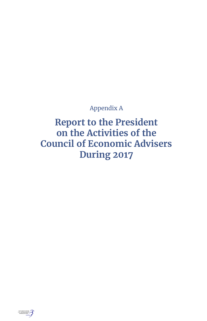Appendix A

**Report to the President on the Activities of the Council of Economic Advisers During 2017**

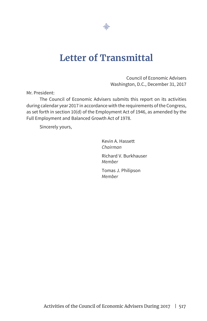

# **Letter of Transmittal**

Council of Economic Advisers Washington, D.C., December 31, 2017

Mr. President:

The Council of Economic Advisers submits this report on its activities during calendar year 2017 in accordance with the requirements of the Congress, as set forth in section 10(d) of the Employment Act of 1946, as amended by the Full Employment and Balanced Growth Act of 1978.

Sincerely yours,

Kevin A. Hassett *Chairman*

Richard V. Burkhauser *Member*

Tomas J. Philipson *Member*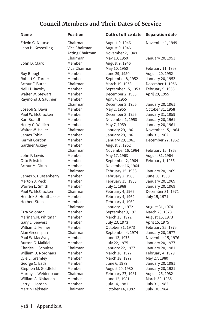| <b>Name</b>           | <b>Position</b> | Oath of office date | <b>Separation date</b> |
|-----------------------|-----------------|---------------------|------------------------|
| Edwin G. Nourse       | Chairman        | August 9, 1946      | November 1, 1949       |
| Leon H. Keyserling    | Vice Chairman   | August 9, 1946      |                        |
|                       | Acting Chairman | November 2, 1949    |                        |
|                       | Chairman        | May 10, 1950        | January 20, 1953       |
| John D. Clark         | Member          | August 9, 1946      |                        |
|                       | Vice Chairman   | May 10, 1950        | February 11, 1953      |
| Roy Blough            | Member          | June 29, 1950       | August 20, 1952        |
| Robert C. Turner      | Member          | September 8, 1952   | January 20, 1953       |
| Arthur F. Burns       | Chairman        | March 19, 1953      | December 1, 1956       |
| Neil H. Jacoby        | Member          | September 15, 1953  | February 9, 1955       |
| Walter W. Stewart     | Member          | December 2, 1953    | April 29, 1955         |
| Raymond J. Saulnier   | Member          | April 4, 1955       |                        |
|                       | Chairman        | December 3, 1956    | January 20, 1961       |
| Joseph S. Davis       | Member          | May 2, 1955         | October 31, 1958       |
| Paul W. McCracken     | Member          | December 3, 1956    | January 31, 1959       |
| Karl Brandt           | Member          | November 1, 1958    | January 20, 1961       |
| Henry C. Wallich      | Member          | May 7, 1959         | January 20, 1961       |
| Walter W. Heller      | Chairman        | January 29, 1961    | November 15, 1964      |
| James Tobin           | Member          | January 29, 1961    | July 31, 1962          |
| Kermit Gordon         | Member          | January 29, 1961    | December 27, 1962      |
| Gardner Ackley        | Member          | August 3, 1962      |                        |
|                       | Chairman        | November 16, 1964   | February 15, 1968      |
| John P. Lewis         | Member          | May 17, 1963        | August 31, 1964        |
| Otto Eckstein         | Member          | September 2, 1964   | February 1, 1966       |
| Arthur M. Okun        | Member          | November 16, 1964   |                        |
|                       | Chairman        | February 15, 1968   | January 20, 1969       |
| James S. Duesenberry  | Member          | February 2, 1966    | June 30, 1968          |
| Merton J. Peck        | Member          | February 15, 1968   | January 20, 1969       |
| Warren L. Smith       | Member          | July 1, 1968        | January 20, 1969       |
| Paul W. McCracken     | Chairman        | February 4, 1969    | December 31, 1971      |
| Hendrik S. Houthakker | Member          | February 4, 1969    | July 15, 1971          |
| <b>Herbert Stein</b>  | Member          | February 4, 1969    |                        |
|                       | Chairman        | January 1, 1972     | August 31, 1974        |
| Ezra Solomon          | Member          | September 9, 1971   | March 26, 1973         |
| Marina v.N. Whitman   | Member          | March 13, 1972      | August 15, 1973        |
| Gary L. Seevers       | Member          | July 23, 1973       | April 15, 1975         |
| William J. Fellner    | Member          | October 31, 1973    | February 25, 1975      |
| Alan Greenspan        | Chairman        | September 4, 1974   | January 20, 1977       |
| Paul W. MacAvoy       | Member          | June 13, 1975       | November 15, 1976      |
| Burton G. Malkiel     | Member          | July 22, 1975       | January 20, 1977       |
| Charles L. Schultze   | Chairman        | January 22, 1977    | January 20, 1981       |
| William D. Nordhaus   | Member          | March 18, 1977      | February 4, 1979       |
| Lyle E. Gramley       | Member          | March 18, 1977      | May 27, 1980           |
| George C. Eads        | Member          | June 6, 1979        | January 20, 1981       |
| Stephen M. Goldfeld   | Member          | August 20, 1980     | January 20, 1981       |
| Murray L. Weidenbaum  | Chairman        | February 27, 1981   | August 25, 1982        |
| William A. Niskanen   | Member          | June 12, 1981       | March 30, 1985         |
| Jerry L. Jordan       | Member          | July 14, 1981       | July 31, 1982          |
| Martin Feldstein      | Chairman        | October 14, 1982    | July 10, 1984          |

### **Council Members and Their Dates of Service**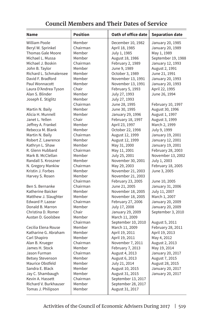| Name                     | <b>Position</b> | Oath of office date | <b>Separation date</b> |
|--------------------------|-----------------|---------------------|------------------------|
| William Poole            | Member          | December 10, 1982   | January 20, 1985       |
| Beryl W. Sprinkel        | Chairman        | April 18, 1985      | January 20, 1989       |
| <b>Thomas Gale Moore</b> | Member          | July 1, 1985        | May 1, 1989            |
| Michael L. Mussa         | Member          | August 18, 1986     | September 19, 1988     |
| Michael J. Boskin        | Chairman        | February 2, 1989    | January 12, 1993       |
| John B. Taylor           | Member          | June 9, 1989        | August 2, 1991         |
| Richard L. Schmalensee   | Member          | October 3, 1989     | June 21, 1991          |
| David F. Bradford        | Member          | November 13, 1991   | January 20, 1993       |
| Paul Wonnacott           | Member          | November 13, 1991   | January 20, 1993       |
| Laura D'Andrea Tyson     | Chair           | February 5, 1993    | April 22, 1995         |
| Alan S. Blinder          | Member          | July 27, 1993       | June 26, 1994          |
| Joseph E. Stiglitz       | Member          | July 27, 1993       |                        |
|                          | Chairman        | June 28, 1995       | February 10, 1997      |
| Martin N. Baily          | Member          | June 30, 1995       | August 30, 1996        |
| Alicia H. Munnell        | Member          | January 29, 1996    | August 1, 1997         |
| Janet L. Yellen          | Chair           | February 18, 1997   | August 3, 1999         |
| Jeffrey A. Frankel       | Member          | April 23, 1997      | March 2, 1999          |
| Rebecca M. Blank         | Member          | October 22, 1998    | July 9, 1999           |
| Martin N. Baily          | Chairman        | August 12, 1999     | January 19, 2001       |
| Robert Z. Lawrence       | Member          | August 12, 1999     | January 12, 2001       |
| Kathryn L. Shaw          | Member          | May 31, 2000        | January 19, 2001       |
| R. Glenn Hubbard         | Chairman        | May 11, 2001        | February 28, 2003      |
| Mark B. McClellan        | Member          | July 25, 2001       | November 13, 2002      |
| Randall S. Kroszner      | Member          | November 30, 2001   | July 1, 2003           |
| N. Gregory Mankiw        | Chairman        | May 29, 2003        | February 18, 2005      |
| Kristin J. Forbes        | Member          | November 21, 2003   | June 3, 2005           |
| Harvey S. Rosen          | Member          | November 21, 2003   |                        |
|                          | Chairman        | February 23, 2005   | June 10, 2005          |
| Ben S. Bernanke          | Chairman        | June 21, 2005       | January 31, 2006       |
| Katherine Baicker        | Member          | November 18, 2005   | July 11, 2007          |
| Matthew J. Slaughter     | Member          | November 18, 2005   | March 1, 2007          |
| Edward P. Lazear         | Chairman        | February 27, 2006   | January 20, 2009       |
| Donald B. Marron         | Member          | July 17, 2008       | January 20, 2009       |
| Christina D. Romer       | Chair           | January 29, 2009    | September 3, 2010      |
| Austan D. Goolsbee       | Member          | March 11, 2009      |                        |
|                          | Chairman        | September 10, 2010  | August 5, 2011         |
| Cecilia Elena Rouse      | Member          | March 11, 2009      | February 28, 2011      |
| Katharine G. Abraham     | Member          | April 19, 2011      | April 19, 2013         |
| Carl Shapiro             | Member          | April 19, 2011      | May 4, 2012            |
| Alan B. Krueger          | Chairman        | November 7, 2011    | August 2, 2013         |
| James H. Stock           | Member          | February 7, 2013    | May 19, 2014           |
| Jason Furman             | Chairman        | August 4, 2013      | January 20, 2017       |
| <b>Betsey Stevenson</b>  | Member          | August 6, 2013      | August 7, 2015         |
| Maurice Obstfeld         | Member          | July 21, 2014       | August 28, 2015        |
| Sandra E. Black          | Member          | August 10, 2015     | January 20, 2017       |
| Jay C. Shambaugh         | Member          | August 31, 2015     | January 20, 2017       |
| Kevin A. Hassett         | Chairman        | September 13, 2017  |                        |
| Richard V. Burkhauser    | Member          | September 28, 2017  |                        |
| Tomas J. Philipson       | Member          | August 31, 2017     |                        |
|                          |                 |                     |                        |

### **Council Members and Their Dates of Service**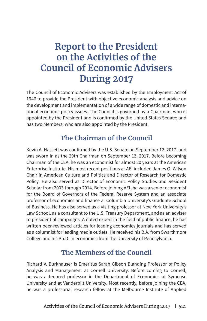# **Report to the President on the Activities of the Council of Economic Advisers During 2017**

The Council of Economic Advisers was established by the Employment Act of 1946 to provide the President with objective economic analysis and advice on the development and implementation of a wide range of domestic and international economic policy issues. The Council is governed by a Chairman, who is appointed by the President and is confirmed by the United States Senate; and has two Members, who are also appointed by the President.

# **The Chairman of the Council**

Kevin A. Hassett was confirmed by the U.S. Senate on September 12, 2017, and was sworn in as the 29th Chairman on September 13, 2017. Before becoming Chairman of the CEA, he was an economist for almost 20 years at the American Enterprise Institute. His most recent positions at AEI included James Q. Wilson Chair in American Culture and Politics and Director of Research for Domestic Policy. He also served as Director of Economic Policy Studies and Resident Scholar from 2003 through 2014. Before joining AEI, he was a senior economist for the Board of Governors of the Federal Reserve System and an associate professor of economics and finance at Columbia University's Graduate School of Business. He has also served as a visiting professor at New York University's Law School, as a consultant to the U.S. Treasury Department, and as an adviser to presidential campaigns. A noted expert in the field of public finance, he has written peer-reviewed articles for leading economics journals and has served as a columnist for leading media outlets. He received his B.A. from Swarthmore College and his Ph.D. in economics from the University of Pennsylvania.

# **The Members of the Council**

Richard V. Burkhauser is Emeritus Sarah Gibson Blanding Professor of Policy Analysis and Management at Cornell University. Before coming to Cornell, he was a tenured professor in the Department of Economics at Syracuse University and at Vanderbilt University. Most recently, before joining the CEA, he was a professorial research fellow at the Melbourne Institute of Applied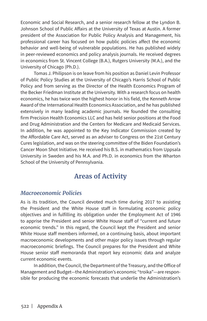Economic and Social Research, and a senior research fellow at the Lyndon B. Johnson School of Public Affairs at the University of Texas at Austin. A former president of the Association for Public Policy Analysis and Management, his professional career has focused on how public policies affect the economic behavior and well-being of vulnerable populations. He has published widely in peer-reviewed economics and policy analysis journals. He received degrees in economics from St. Vincent College (B.A.), Rutgers University (M.A.), and the University of Chicago (Ph.D.).

Tomas J. Philipson is on leave from his position as Daniel Levin Professor of Public Policy Studies at the University of Chicago's Harris School of Public Policy and from serving as the Director of the Health Economics Program of the Becker Friedman Institute at the University. With a research focus on health economics, he has twice won the highest honor in his field, the Kenneth Arrow Award of the International Health Economics Association, and he has published extensively in many leading academic journals. He founded the consulting firm Precision Health Economics LLC and has held senior positions at the Food and Drug Administration and the Centers for Medicare and Medicaid Services. In addition, he was appointed to the Key Indicator Commission created by the Affordable Care Act, served as an adviser to Congress on the 21st Century Cures legislation, and was on the steering committee of the Biden Foundation's Cancer Moon Shot Initiative. He received his B.S. in mathematics from Uppsala University in Sweden and his M.A. and Ph.D. in economics from the Wharton School of the University of Pennsylvania.

### **Areas of Activity**

### *Macroeconomic Policies*

As is its tradition, the Council devoted much time during 2017 to assisting the President and the White House staff in formulating economic policy objectives and in fulfilling its obligation under the Employment Act of 1946 to apprise the President and senior White House staff of "current and future economic trends." In this regard, the Council kept the President and senior White House staff members informed, on a continuing basis, about important macroeconomic developments and other major policy issues through regular macroeconomic briefings. The Council prepares for the President and White House senior staff memoranda that report key economic data and analyze current economic events.

In addition, the Council, the Department of the Treasury, and the Office of Management and Budget—the Administration's economic "troika"—are responsible for producing the economic forecasts that underlie the Administration's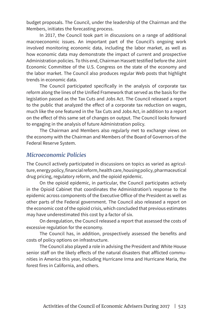budget proposals. The Council, under the leadership of the Chairman and the Members, initiates the forecasting process.

In 2017, the Council took part in discussions on a range of additional macroeconomic issues. An important part of the Council's ongoing work involved monitoring economic data, including the labor market, as well as how economic data may demonstrate the impact of current and prospective Administration policies. To this end, Chairman Hassett testified before the Joint Economic Committee of the U.S. Congress on the state of the economy and the labor market. The Council also produces regular Web posts that highlight trends in economic data.

The Council participated specifically in the analysis of corporate tax reform along the lines of the Unified Framework that served as the basis for the legislation passed as the Tax Cuts and Jobs Act. The Council released a report to the public that analyzed the effect of a corporate tax reduction on wages, much like the one featured in the Tax Cuts and Jobs Act, in addition to a report on the effect of this same set of changes on output. The Council looks forward to engaging in the analysis of future Administration policy.

The Chairman and Members also regularly met to exchange views on the economy with the Chairman and Members of the Board of Governors of the Federal Reserve System.

### *Microeconomic Policies*

The Council actively participated in discussions on topics as varied as agriculture, energy policy, financial reform, health care, housing policy, pharmaceutical drug pricing, regulatory reform, and the opioid epidemic.

On the opioid epidemic, in particular, the Council participates actively in the Opioid Cabinet that coordinates the Administration's response to the epidemic across components of the Executive Office of the President as well as other parts of the Federal government. The Council also released a report on the economic cost of the opioid crisis, which concluded that previous estimates may have underestimated this cost by a factor of six.

On deregulation, the Council released a report that assessed the costs of excessive regulation for the economy.

The Council has, in addition, prospectively assessed the benefits and costs of policy options on infrastructure.

The Council also played a role in advising the President and White House senior staff on the likely effects of the natural disasters that afflicted communities in America this year, including Hurricane Irma and Hurricane Maria, the forest fires in California, and others.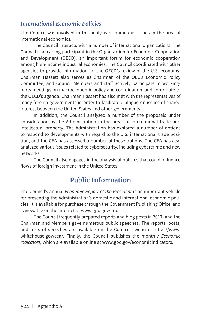### *International Economic Policies*

The Council was involved in the analysis of numerous issues in the area of international economics.

The Council interacts with a number of international organizations. The Council is a leading participant in the Organization for Economic Cooperation and Development (OECD), an important forum for economic cooperation among high-income industrial economies. The Council coordinated with other agencies to provide information for the OECD's review of the U.S. economy. Chairman Hassett also serves as Chairman of the OECD Economic Policy Committee, and Council Members and staff actively participate in workingparty meetings on macroeconomic policy and coordination, and contribute to the OECD's agenda. Chairman Hassett has also met with the representatives of many foreign governments in order to facilitate dialogue on issues of shared interest between the United States and other governments.

In addition, the Council analyzed a number of the proposals under consideration by the Administration in the areas of international trade and intellectual property. The Administration has explored a number of options to respond to developments with regard to the U.S. international trade position, and the CEA has assessed a number of these options. The CEA has also analyzed various issues related to cybersecurity, including cybercrime and new networks.

The Council also engages in the analysis of policies that could influence flows of foreign investment in the United States.

## **Public Information**

The Council's annual *Economic Report of the President* is an important vehicle for presenting the Administration's domestic and international economic policies. It is available for purchase through the Government Publishing Office, and is viewable on the Internet at [www.gpo.gov/erp](http://www.gpo.gov/erp).

The Council frequently prepared reports and blog posts in 2017, and the Chairman and Members gave numerous public speeches. The reports, posts, and texts of speeches are available on the Council's website, [https://www.](https://www.whitehouse.gov/cea/) [whitehouse.gov/cea/.](https://www.whitehouse.gov/cea/) Finally, the Council publishes the monthly *Economic Indicators,* which are available online at [www.gpo.gov/economicindicators.](http://www.gpo.gov/economicindicators)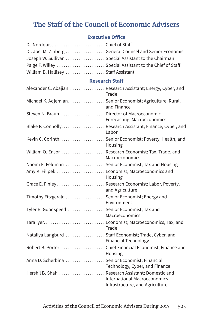# **The Staff of the Council of Economic Advisers**

### **Executive Office**

| DJ Nordquist  Chief of Staff                             |                                                           |
|----------------------------------------------------------|-----------------------------------------------------------|
|                                                          | Dr. Joel M. Zinberg  General Counsel and Senior Economist |
| Joseph W. Sullivan  Special Assistant to the Chairman    |                                                           |
| Paige F. Willey  Special Assistant to the Chief of Staff |                                                           |
| William B. Hallisey  Staff Assistant                     |                                                           |

### **Research Staff**

|                                                            | Alexander C. Abajian  Research Assistant; Energy, Cyber, and<br>Trade |
|------------------------------------------------------------|-----------------------------------------------------------------------|
| Michael K. Adjemian. Senior Economist; Agriculture, Rural, | and Finance                                                           |
|                                                            | Forecasting; Macroeconomics                                           |
|                                                            | Labor                                                                 |
|                                                            | Housing                                                               |
| William O. Ensor  Research Economist; Tax, Trade, and      | Macroeconomics                                                        |
| Naomi E. Feldman Senior Economist; Tax and Housing         |                                                                       |
| Amy K. Filipek  Economist; Macroeconomics and              | Housing                                                               |
|                                                            | and Agriculture                                                       |
| Timothy Fitzgerald Senior Economist; Energy and            | Environment                                                           |
| Tyler B. Goodspeed  Senior Economist; Tax and              | Macroeconomics                                                        |
|                                                            | Trade                                                                 |
| Nataliya Langburd  Staff Economist; Trade, Cyber, and      | <b>Financial Technology</b>                                           |
|                                                            | Housing                                                               |
| Anna D. Scherbina  Senior Economist; Financial             | Technology, Cyber, and Finance                                        |
|                                                            | International Macroeconomics,<br>Infrastructure, and Agriculture      |